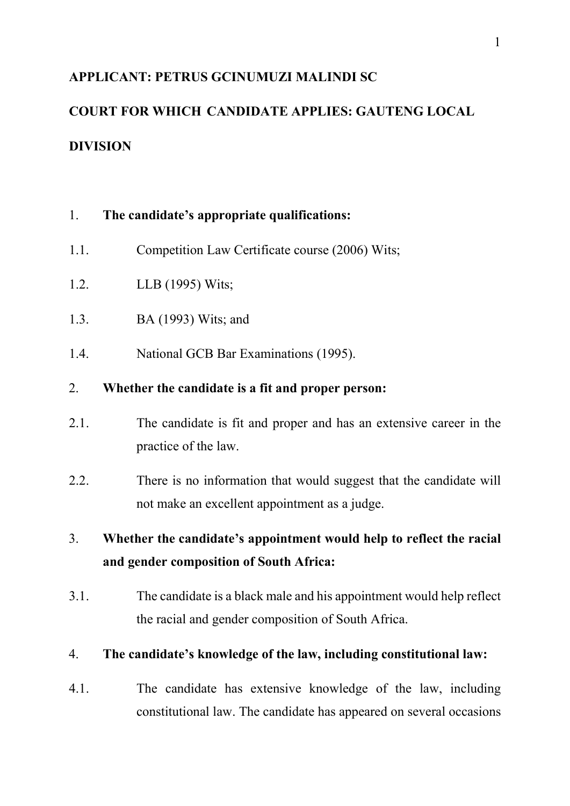## **APPLICANT: PETRUS GCINUMUZI MALINDI SC**

# **COURT FOR WHICH CANDIDATE APPLIES: GAUTENG LOCAL DIVISION**

### 1. **The candidate's appropriate qualifications:**

- 1.1. Competition Law Certificate course (2006) Wits;
- 1.2. LLB (1995) Wits;
- 1.3. BA (1993) Wits; and
- 1.4. National GCB Bar Examinations (1995).

#### 2. **Whether the candidate is a fit and proper person:**

- 2.1. The candidate is fit and proper and has an extensive career in the practice of the law.
- 2.2. There is no information that would suggest that the candidate will not make an excellent appointment as a judge.

# 3. **Whether the candidate's appointment would help to reflect the racial and gender composition of South Africa:**

3.1. The candidate is a black male and his appointment would help reflect the racial and gender composition of South Africa.

#### 4. **The candidate's knowledge of the law, including constitutional law:**

4.1. The candidate has extensive knowledge of the law, including constitutional law. The candidate has appeared on several occasions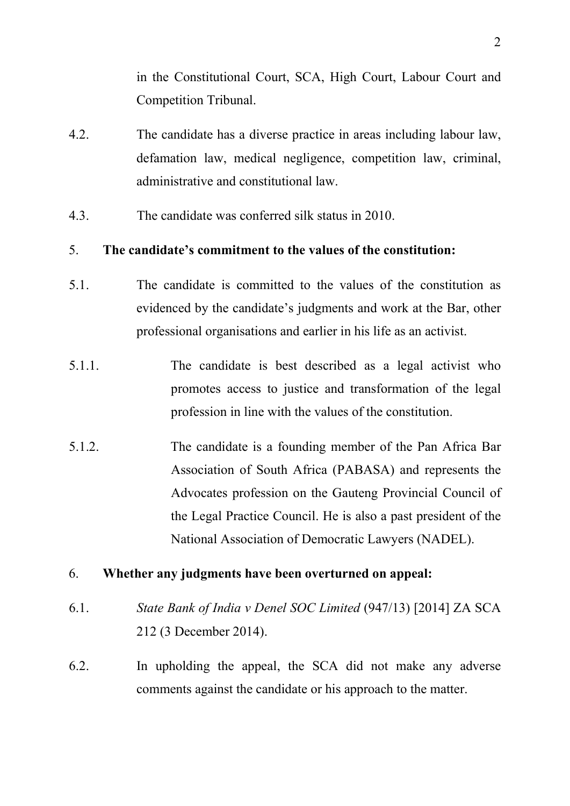in the Constitutional Court, SCA, High Court, Labour Court and Competition Tribunal.

- 4.2. The candidate has a diverse practice in areas including labour law, defamation law, medical negligence, competition law, criminal, administrative and constitutional law.
- 4.3. The candidate was conferred silk status in 2010.

#### 5. **The candidate's commitment to the values of the constitution:**

- 5.1. The candidate is committed to the values of the constitution as evidenced by the candidate's judgments and work at the Bar, other professional organisations and earlier in his life as an activist.
- 5.1.1. The candidate is best described as a legal activist who promotes access to justice and transformation of the legal profession in line with the values of the constitution.
- 5.1.2. The candidate is a founding member of the Pan Africa Bar Association of South Africa (PABASA) and represents the Advocates profession on the Gauteng Provincial Council of the Legal Practice Council. He is also a past president of the National Association of Democratic Lawyers (NADEL).

#### 6. **Whether any judgments have been overturned on appeal:**

- 6.1. *State Bank of India v Denel SOC Limited* (947/13) [2014] ZA SCA 212 (3 December 2014).
- 6.2. In upholding the appeal, the SCA did not make any adverse comments against the candidate or his approach to the matter.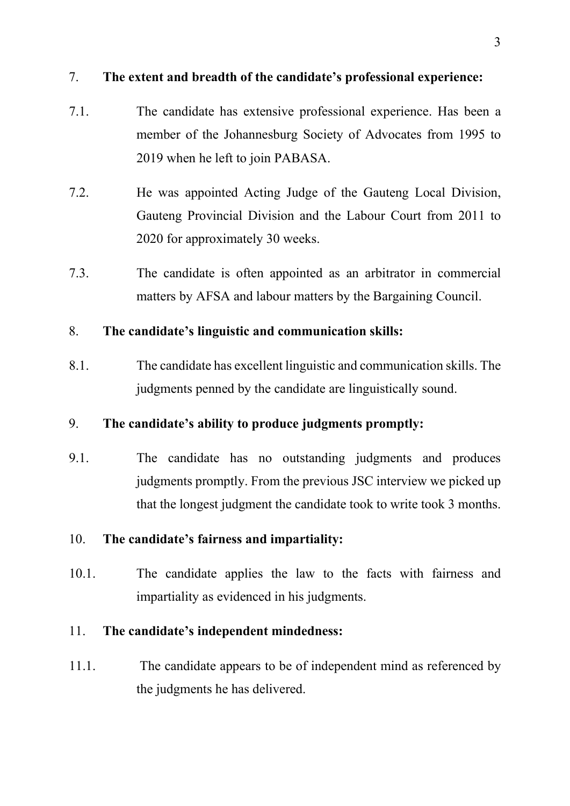# 7. **The extent and breadth of the candidate's professional experience:**

- 7.1. The candidate has extensive professional experience. Has been a member of the Johannesburg Society of Advocates from 1995 to 2019 when he left to join PABASA.
- 7.2. He was appointed Acting Judge of the Gauteng Local Division, Gauteng Provincial Division and the Labour Court from 2011 to 2020 for approximately 30 weeks.
- 7.3. The candidate is often appointed as an arbitrator in commercial matters by AFSA and labour matters by the Bargaining Council.

# 8. **The candidate's linguistic and communication skills:**

8.1. The candidate has excellent linguistic and communication skills. The judgments penned by the candidate are linguistically sound.

# 9. **The candidate's ability to produce judgments promptly:**

9.1. The candidate has no outstanding judgments and produces judgments promptly. From the previous JSC interview we picked up that the longest judgment the candidate took to write took 3 months.

# 10. **The candidate's fairness and impartiality:**

10.1. The candidate applies the law to the facts with fairness and impartiality as evidenced in his judgments.

# 11. **The candidate's independent mindedness:**

11.1. The candidate appears to be of independent mind as referenced by the judgments he has delivered.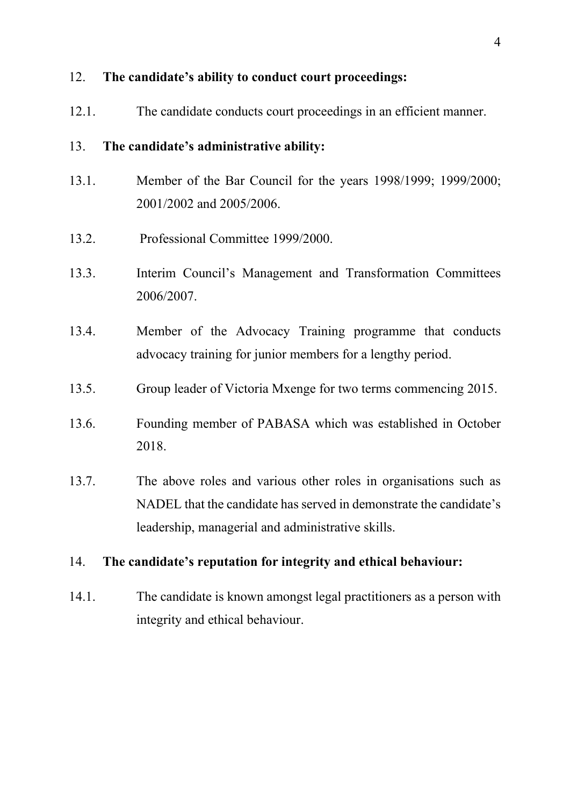#### 12. **The candidate's ability to conduct court proceedings:**

12.1. The candidate conducts court proceedings in an efficient manner.

#### 13. **The candidate's administrative ability:**

- 13.1. Member of the Bar Council for the years 1998/1999; 1999/2000; 2001/2002 and 2005/2006.
- 13.2. Professional Committee 1999/2000.
- 13.3. Interim Council's Management and Transformation Committees 2006/2007.
- 13.4. Member of the Advocacy Training programme that conducts advocacy training for junior members for a lengthy period.
- 13.5. Group leader of Victoria Mxenge for two terms commencing 2015.
- 13.6. Founding member of PABASA which was established in October 2018.
- 13.7. The above roles and various other roles in organisations such as NADEL that the candidate has served in demonstrate the candidate's leadership, managerial and administrative skills.

#### 14. **The candidate's reputation for integrity and ethical behaviour:**

14.1. The candidate is known amongst legal practitioners as a person with integrity and ethical behaviour.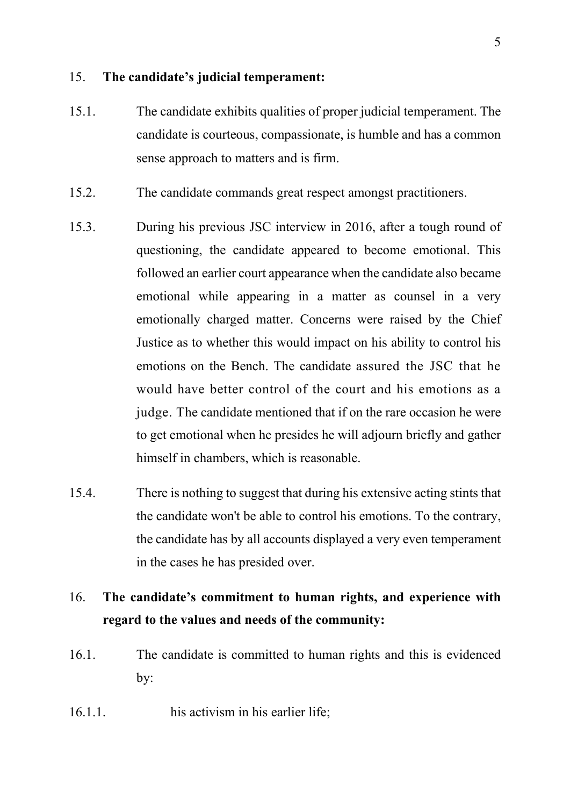#### 15. **The candidate's judicial temperament:**

- 15.1. The candidate exhibits qualities of proper judicial temperament. The candidate is courteous, compassionate, is humble and has a common sense approach to matters and is firm.
- 15.2. The candidate commands great respect amongst practitioners.
- 15.3. During his previous JSC interview in 2016, after a tough round of questioning, the candidate appeared to become emotional. This followed an earlier court appearance when the candidate also became emotional while appearing in a matter as counsel in a very emotionally charged matter. Concerns were raised by the Chief Justice as to whether this would impact on his ability to control his emotions on the Bench. The candidate assured the JSC that he would have better control of the court and his emotions as a judge. The candidate mentioned that if on the rare occasion he were to get emotional when he presides he will adjourn briefly and gather himself in chambers, which is reasonable.
- 15.4. There is nothing to suggest that during his extensive acting stints that the candidate won't be able to control his emotions. To the contrary, the candidate has by all accounts displayed a very even temperament in the cases he has presided over.

# 16. **The candidate's commitment to human rights, and experience with regard to the values and needs of the community:**

- 16.1. The candidate is committed to human rights and this is evidenced by:
- 16.1.1. his activism in his earlier life;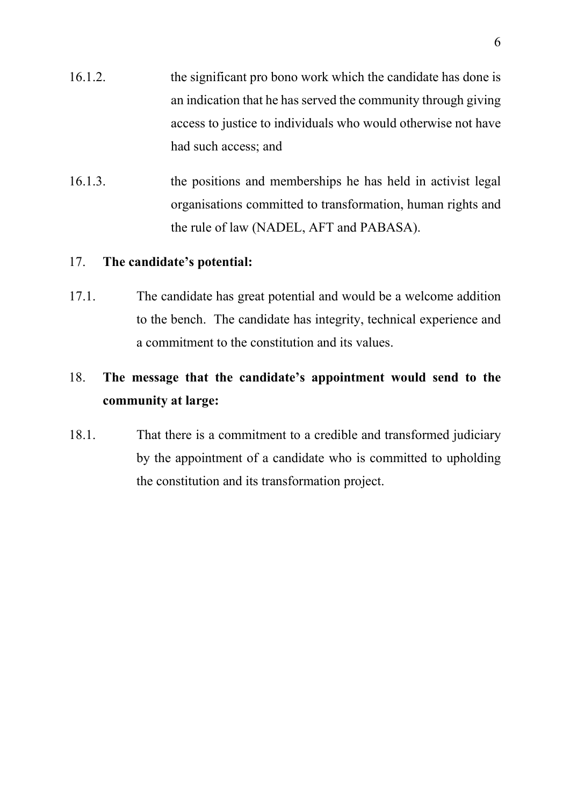- 16.1.2. the significant pro bono work which the candidate has done is an indication that he has served the community through giving access to justice to individuals who would otherwise not have had such access; and
- 16.1.3. the positions and memberships he has held in activist legal organisations committed to transformation, human rights and the rule of law (NADEL, AFT and PABASA).

### 17. **The candidate's potential:**

17.1. The candidate has great potential and would be a welcome addition to the bench. The candidate has integrity, technical experience and a commitment to the constitution and its values.

# 18. **The message that the candidate's appointment would send to the community at large:**

18.1. That there is a commitment to a credible and transformed judiciary by the appointment of a candidate who is committed to upholding the constitution and its transformation project.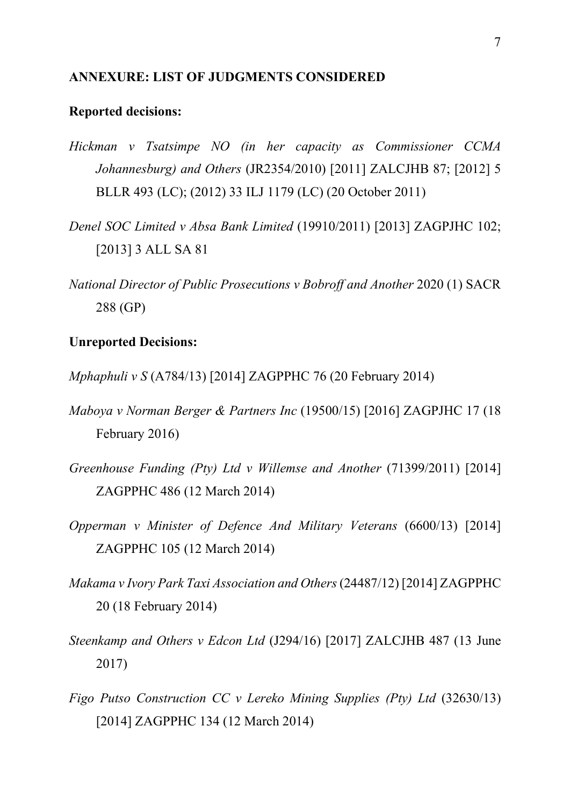#### **ANNEXURE: LIST OF JUDGMENTS CONSIDERED**

#### **Reported decisions:**

- *[Hickman v Tsatsimpe NO \(in her capacity as Commissioner CCMA](http://www.saflii.org/cgi-bin/disp.pl?file=za/cases/ZALCJHB/2011/87.html&query=%20malindi)  Johannesburg) and Others* [\(JR2354/2010\) \[2011\] ZALCJHB 87; \[2012\] 5](http://www.saflii.org/cgi-bin/disp.pl?file=za/cases/ZALCJHB/2011/87.html&query=%20malindi)  [BLLR 493 \(LC\); \(2012\) 33 ILJ 1179 \(LC\) \(20 October 2011\)](http://www.saflii.org/cgi-bin/disp.pl?file=za/cases/ZALCJHB/2011/87.html&query=%20malindi)
- *Denel SOC Limited v Absa Bank Limited* (19910/2011) [2013] ZAGPJHC 102; [2013] 3 ALL SA 81
- *National Director of Public Prosecutions v Bobroff and Another* 2020 (1) SACR 288 (GP)

#### **Unreported Decisions:**

- *Mphaphuli v S* [\(A784/13\) \[2014\] ZAGPPHC 76 \(20 February 2014\)](http://www.saflii.org/cgi-bin/disp.pl?file=za/cases/ZAGPPHC/2014/76.html&query=%20malindi)
- *Maboya v Norman Berger & Partners Inc* (19500/15) [2016] ZAGPJHC 17 (18 February 2016)
- *Greenhouse Funding (Pty) Ltd v Willemse and Another* (71399/2011) [2014] ZAGPPHC 486 (12 March 2014)
- *Opperman v Minister of Defence And Military Veterans* (6600/13) [2014] ZAGPPHC 105 (12 March 2014)
- *Makama v Ivory Park Taxi Association and Others* (24487/12) [2014] ZAGPPHC 20 (18 February 2014)
- *Steenkamp and Others v Edcon Ltd* (J294/16) [2017] ZALCJHB 487 (13 June 2017)
- *Figo Putso Construction CC v Lereko Mining Supplies (Pty) Ltd* (32630/13) [2014] ZAGPPHC 134 (12 March 2014)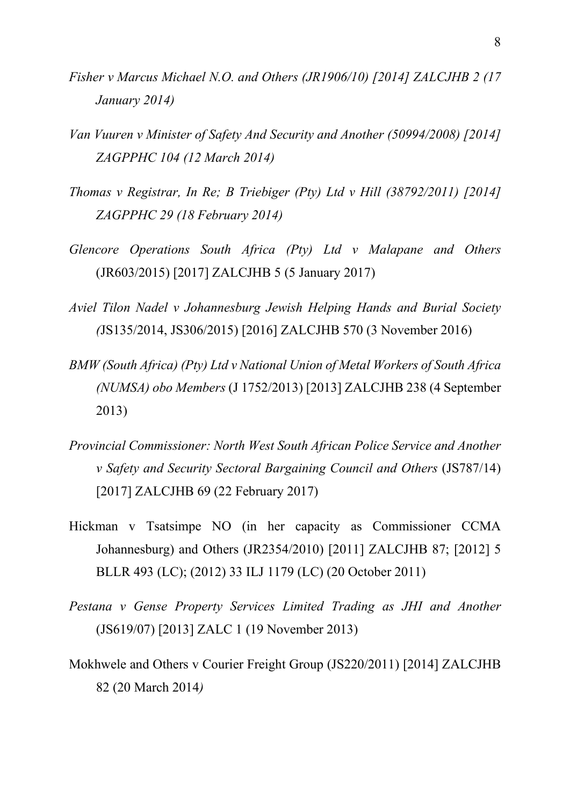- *Fisher v Marcus Michael N.O. and Others (JR1906/10) [2014] ZALCJHB 2 (17 January 2014)*
- *Van Vuuren v Minister of Safety And Security and Another (50994/2008) [2014] ZAGPPHC 104 (12 March 2014)*
- *Thomas v Registrar, In Re; B Triebiger (Pty) Ltd v Hill (38792/2011) [2014] ZAGPPHC 29 (18 February 2014)*
- *Glencore Operations South Africa (Pty) Ltd v Malapane and Others*  (JR603/2015) [2017] ZALCJHB 5 (5 January 2017)
- *Aviel Tilon Nadel v Johannesburg Jewish Helping Hands and Burial Society (*JS135/2014, JS306/2015) [2016] ZALCJHB 570 (3 November 2016)
- *BMW (South Africa) (Pty) Ltd v National Union of Metal Workers of South Africa (NUMSA) obo Members* (J 1752/2013) [2013] ZALCJHB 238 (4 September 2013)
- *[Provincial Commissioner: North West South African Police Service and Another](http://www.saflii.org/cgi-bin/disp.pl?file=za/cases/ZALCJHB/2017/69.html&query=%22Malindi%20AJ%22)  [v Safety and Security Sectoral Bargaining Council and Others](http://www.saflii.org/cgi-bin/disp.pl?file=za/cases/ZALCJHB/2017/69.html&query=%22Malindi%20AJ%22)* (JS787/14) [\[2017\] ZALCJHB 69 \(22 February 2017\)](http://www.saflii.org/cgi-bin/disp.pl?file=za/cases/ZALCJHB/2017/69.html&query=%22Malindi%20AJ%22)
- [Hickman v Tsatsimpe NO \(in her capacity as Commissioner CCMA](http://www.saflii.org/cgi-bin/disp.pl?file=za/cases/ZALCJHB/2011/87.html&query=%22Malindi%20AJ%22)  [Johannesburg\) and Others \(JR2354/2010\) \[2011\] ZALCJHB 87; \[2012\] 5](http://www.saflii.org/cgi-bin/disp.pl?file=za/cases/ZALCJHB/2011/87.html&query=%22Malindi%20AJ%22)  [BLLR 493 \(LC\); \(2012\) 33 ILJ 1179 \(LC\) \(20 October 2011\)](http://www.saflii.org/cgi-bin/disp.pl?file=za/cases/ZALCJHB/2011/87.html&query=%22Malindi%20AJ%22)
- *Pestana v Gense Property Services Limited Trading as JHI and Another*  (JS619/07) [2013] ZALC 1 (19 November 2013)
- [Mokhwele and Others v Courier Freight Group \(JS220/2011\) \[2014\] ZALCJHB](http://www.saflii.org/cgi-bin/disp.pl?file=za/cases/ZALCJHB/2014/82.html&query=%22Malindi%20AJ%22)  [82 \(20 March 2014](http://www.saflii.org/cgi-bin/disp.pl?file=za/cases/ZALCJHB/2014/82.html&query=%22Malindi%20AJ%22)*)*